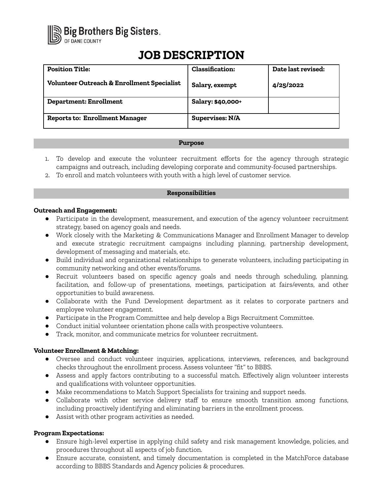

# **JOB DESCRIPTION**

| <b>Position Title:</b>                                | <b>Classification:</b> | Date last revised: |
|-------------------------------------------------------|------------------------|--------------------|
| <b>Volunteer Outreach &amp; Enrollment Specialist</b> | Salary, exempt         | 4/25/2022          |
| <b>Department: Enrollment</b>                         | Salary: \$40,000+      |                    |
| <b>Reports to: Enrollment Manager</b>                 | <b>Supervises: N/A</b> |                    |

#### **Purpose**

- 1. To develop and execute the volunteer recruitment efforts for the agency through strategic campaigns and outreach, including developing corporate and community-focused partnerships.
- 2. To enroll and match volunteers with youth with a high level of customer service.

## **Responsibilities**

## **Outreach and Engagement:**

- Participate in the development, measurement, and execution of the agency volunteer recruitment strategy, based on agency goals and needs.
- Work closely with the Marketing & Communications Manager and Enrollment Manager to develop and execute strategic recruitment campaigns including planning, partnership development, development of messaging and materials, etc.
- Build individual and organizational relationships to generate volunteers, including participating in community networking and other events/forums.
- Recruit volunteers based on specific agency goals and needs through scheduling, planning, facilitation, and follow-up of presentations, meetings, participation at fairs/events, and other opportunities to build awareness.
- Collaborate with the Fund Development department as it relates to corporate partners and employee volunteer engagement.
- Participate in the Program Committee and help develop a Bigs Recruitment Committee.
- Conduct initial volunteer orientation phone calls with prospective volunteers.
- Track, monitor, and communicate metrics for volunteer recruitment.

## **Volunteer Enrollment & Matching:**

- Oversee and conduct volunteer inquiries, applications, interviews, references, and background checks throughout the enrollment process. Assess volunteer "fit" to BBBS.
- Assess and apply factors contributing to a successful match. Effectively align volunteer interests and qualifications with volunteer opportunities.
- Make recommendations to Match Support Specialists for training and support needs.
- Collaborate with other service delivery staff to ensure smooth transition among functions, including proactively identifying and eliminating barriers in the enrollment process.
- Assist with other program activities as needed.

## **Program Expectations:**

- Ensure high-level expertise in applying child safety and risk management knowledge, policies, and procedures throughout all aspects of job function.
- Ensure accurate, consistent, and timely documentation is completed in the MatchForce database according to BBBS Standards and Agency policies & procedures.